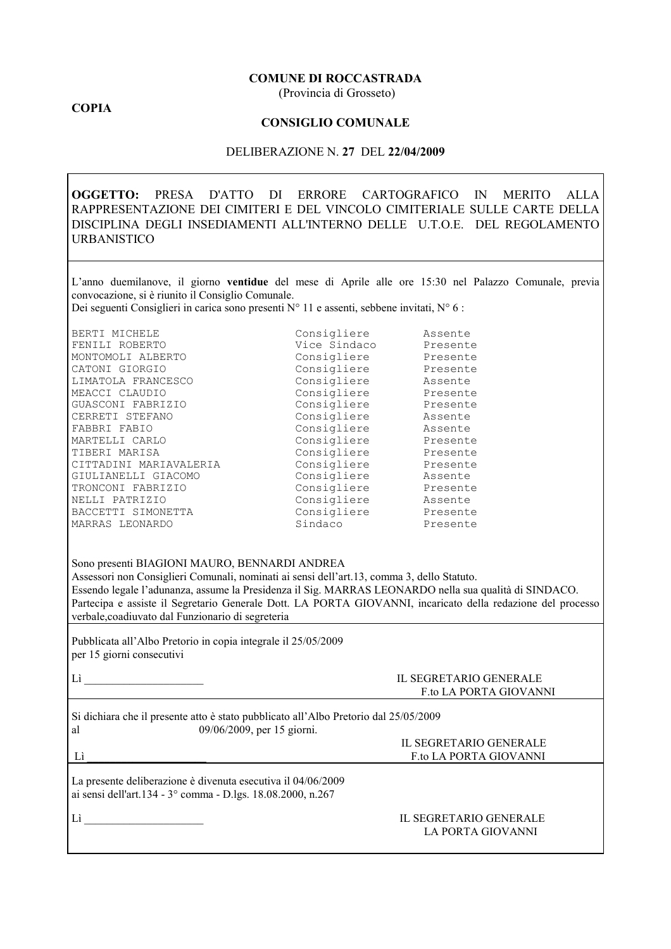## **COMUNE DI ROCCASTRADA**

(Provincia di Grosseto)

## **COPIA**

## **CONSIGLIO COMUNALE**

## DELIBERAZIONE N. 27 DEL 22/04/2009

OGGETTO: PRESA D'ATTO DI ERRORE CARTOGRAFICO IN MERITO ALLA RAPPRESENTAZIONE DEI CIMITERI E DEL VINCOLO CIMITERIALE SULLE CARTE DELLA DISCIPLINA DEGLI INSEDIAMENTI ALL'INTERNO DELLE U.T.O.E. DEL REGOLAMENTO **URBANISTICO** 

L'anno duemilanove, il giorno ventidue del mese di Aprile alle ore 15:30 nel Palazzo Comunale, previa convocazione, si è riunito il Consiglio Comunale.

Dei seguenti Consiglieri in carica sono presenti N° 11 e assenti, sebbene invitati, N° 6 :

| BERTI MICHELE          | Consigliere  | Assente  |
|------------------------|--------------|----------|
| FENILI ROBERTO         | Vice Sindaco | Presente |
| MONTOMOLI ALBERTO      | Consigliere  | Presente |
| CATONI GIORGIO         | Consigliere  | Presente |
| LIMATOLA FRANCESCO     | Consigliere  | Assente  |
| MEACCI CLAUDIO         | Consigliere  | Presente |
| GUASCONI FABRIZIO      | Consigliere  | Presente |
| CERRETI STEFANO        | Consigliere  | Assente  |
| FABBRI FABIO           | Consigliere  | Assente  |
| MARTELLI CARLO         | Consigliere  | Presente |
| TIBERI MARISA          | Consigliere  | Presente |
| CITTADINI MARIAVALERIA | Consigliere  | Presente |
| GIULIANELLI GIACOMO    | Consigliere  | Assente  |
| TRONCONI FABRIZIO      | Consigliere  | Presente |
| NELLI PATRIZIO         | Consigliere  | Assente  |
| BACCETTI SIMONETTA     | Consigliere  | Presente |
| MARRAS LEONARDO        | Sindaco      | Presente |
|                        |              |          |

Sono presenti BIAGIONI MAURO, BENNARDI ANDREA

Assessori non Consiglieri Comunali, nominati ai sensi dell'art.13, comma 3, dello Statuto. Essendo legale l'adunanza, assume la Presidenza il Sig. MARRAS LEONARDO nella sua qualità di SINDACO. Partecipa e assiste il Segretario Generale Dott. LA PORTA GIOVANNI, incaricato della redazione del processo verbale, coadiuvato dal Funzionario di segreteria

Pubblicata all'Albo Pretorio in copia integrale il 25/05/2009 per 15 giorni consecutivi

|  | ٠ |  |  |
|--|---|--|--|
|  |   |  |  |
|  |   |  |  |
|  |   |  |  |

## **IL SEGRETARIO GENERALE** F.to LA PORTA GIOVANNI

Si dichiara che il presente atto è stato pubblicato all'Albo Pretorio dal 25/05/2009 09/06/2009, per 15 giorni. al

 $Li$ 

| IL SEGRETARIO GENERALE |  |
|------------------------|--|
| F to LA PORTA GIOVANNI |  |

La presente deliberazione è divenuta esecutiva il 04/06/2009 ai sensi dell'art.134 - 3° comma - D.lgs. 18.08.2000, n.267

 $Li$ 

### IL SEGRETARIO GENERALE LA PORTA GIOVANNI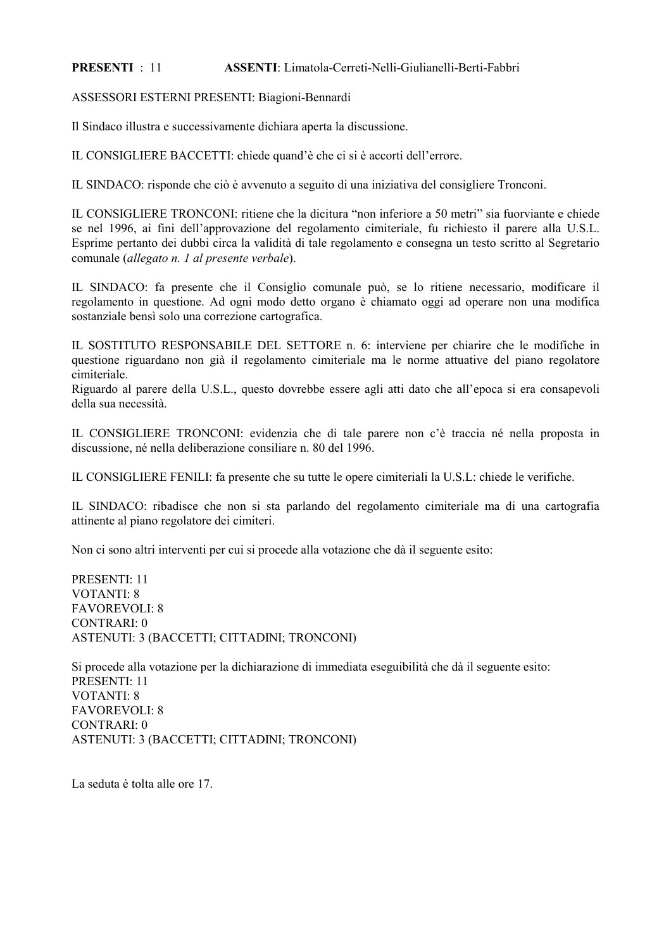#### ASSENTI Limatola-Cerreti-Nelli-Giulianelli-Berti-Fabbri **PRESENTI**  $\cdot$  11

ASSESSORI ESTERNI PRESENTI: Biagioni-Bennardi

Il Sindaco illustra e successivamente dichiara aperta la discussione.

IL CONSIGLIERE BACCETTI: chiede quand'è che ci si è accorti dell'errore.

IL SINDACO: risponde che ciò è avvenuto a seguito di una iniziativa del consigliere Tronconi.

IL CONSIGLIERE TRONCONI: ritiene che la dicitura "non inferiore a 50 metri" sia fuorviante e chiede se nel 1996, ai fini dell'approvazione del regolamento cimiteriale, fu richiesto il parere alla U.S.L. Esprime pertanto dei dubbi circa la validità di tale regolamento e consegna un testo scritto al Segretario comunale (allegato n. 1 al presente verbale).

IL SINDACO: fa presente che il Consiglio comunale può, se lo ritiene necessario, modificare il regolamento in questione. Ad ogni modo detto organo è chiamato oggi ad operare non una modifica sostanziale bensì solo una correzione cartografica.

IL SOSTITUTO RESPONSABILE DEL SETTORE n. 6: interviene per chiarire che le modifiche in questione riguardano non già il regolamento cimiteriale ma le norme attuative del piano regolatore cimiteriale.

Riguardo al parere della U.S.L., questo dovrebbe essere agli atti dato che all'epoca si era consapevoli della sua necessità.

IL CONSIGLIERE TRONCONI: evidenzia che di tale parere non c'è traccia né nella proposta in discussione, né nella deliberazione consiliare n. 80 del 1996.

IL CONSIGLIERE FENILI: fa presente che su tutte le opere cimiteriali la U.S.L: chiede le verifiche.

IL SINDACO: ribadisce che non si sta parlando del regolamento cimiteriale ma di una cartografia attinente al piano regolatore dei cimiteri.

Non ci sono altri interventi per cui si procede alla votazione che dà il seguente esito:

PRESENTI 11 **VOTANTI: 8 FAVOREVOLI: 8 CONTRARI: 0 ASTENUTI: 3 (BACCETTI: CITTADINI: TRONCONI)** 

Si procede alla votazione per la dichiarazione di immediata eseguibilità che dà il seguente esito: PRESENTI 11 **VOTANTI: 8 FAVOREVOLI: 8**  $CONTRARI: 0$ **ASTENUTI: 3 (BACCETTI: CITTADINI: TRONCONI)** 

La seduta è tolta alle ore 17.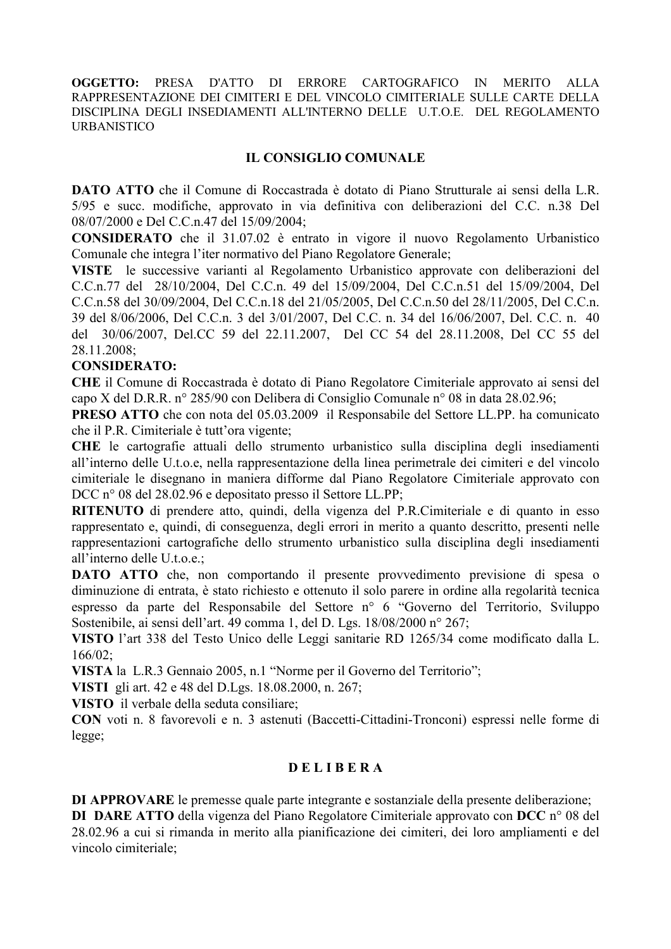OGGETTO: **PRESA** D'ATTO DI ERRORE CARTOGRAFICO IN **MERITO**  $ALIA$ RAPPRESENTAZIONE DEI CIMITERI E DEL VINCOLO CIMITERIALE SULLE CARTE DELLA DISCIPLINA DEGLI INSEDIAMENTI ALL'INTERNO DELLE U.T.O.E. DEL REGOLAMENTO **URBANISTICO** 

# **IL CONSIGLIO COMUNALE**

**DATO ATTO** che il Comune di Roccastrada è dotato di Piano Strutturale ai sensi della L.R. 5/95 e succ. modifiche, approvato in via definitiva con deliberazioni del C.C. n.38 Del 08/07/2000 e Del C.C.n.47 del 15/09/2004;

**CONSIDERATO** che il 31.07.02 è entrato in vigore il nuovo Regolamento Urbanistico Comunale che integra l'iter normativo del Piano Regolatore Generale:

VISTE le successive varianti al Regolamento Urbanistico approvate con deliberazioni del C.C.n.77 del 28/10/2004, Del C.C.n. 49 del 15/09/2004, Del C.C.n.51 del 15/09/2004, Del C.C.n.58 del 30/09/2004, Del C.C.n.18 del 21/05/2005, Del C.C.n.50 del 28/11/2005, Del C.C.n. 39 del 8/06/2006, Del C.C.n. 3 del 3/01/2007, Del C.C. n. 34 del 16/06/2007, Del. C.C. n. 40 del 30/06/2007, Del.CC 59 del 22.11.2007, Del CC 54 del 28.11.2008, Del CC 55 del 28.11.2008:

## **CONSIDERATO:**

CHE il Comune di Roccastrada è dotato di Piano Regolatore Cimiteriale approvato ai sensi del capo X del D.R.R. nº 285/90 con Delibera di Consiglio Comunale nº 08 in data 28.02.96;

**PRESO ATTO** che con nota del 05.03.2009 il Responsabile del Settore LL.PP. ha comunicato che il P.R. Cimiteriale è tutt'ora vigente;

CHE le cartografie attuali dello strumento urbanistico sulla disciplina degli insediamenti all'interno delle U.t.o.e, nella rappresentazione della linea perimetrale dei cimiteri e del vincolo cimiteriale le disegnano in maniera difforme dal Piano Regolatore Cimiteriale approvato con DCC n° 08 del 28.02.96 e depositato presso il Settore LL.PP;

RITENUTO di prendere atto, quindi, della vigenza del P.R.Cimiteriale e di quanto in esso rappresentato e, quindi, di conseguenza, degli errori in merito a quanto descritto, presenti nelle rappresentazioni cartografiche dello strumento urbanistico sulla disciplina degli insediamenti all'interno delle U<sub>toe</sub>:

**DATO** ATTO che, non comportando il presente provvedimento previsione di spesa o diminuzione di entrata, è stato richiesto e ottenuto il solo parere in ordine alla regolarità tecnica espresso da parte del Responsabile del Settore nº 6 "Governo del Territorio, Sviluppo Sostenibile, ai sensi dell'art. 49 comma 1, del D. Lgs. 18/08/2000 n° 267;

VISTO l'art 338 del Testo Unico delle Leggi sanitarie RD 1265/34 come modificato dalla L.  $166/02$ :

VISTA la L.R.3 Gennaio 2005, n.1 "Norme per il Governo del Territorio";

VISTI gli art. 42 e 48 del D.Lgs. 18.08.2000, n. 267;

VISTO il verbale della seduta consiliare;

CON voti n. 8 favorevoli e n. 3 astenuti (Baccetti-Cittadini-Tronconi) espressi nelle forme di  $legge:$ 

# **DELIBERA**

DI APPROVARE le premesse quale parte integrante e sostanziale della presente deliberazione; DI DARE ATTO della vigenza del Piano Regolatore Cimiteriale approvato con DCC n° 08 del 28.02.96 a cui si rimanda in merito alla pianificazione dei cimiteri, dei loro ampliamenti e del vincolo cimiteriale;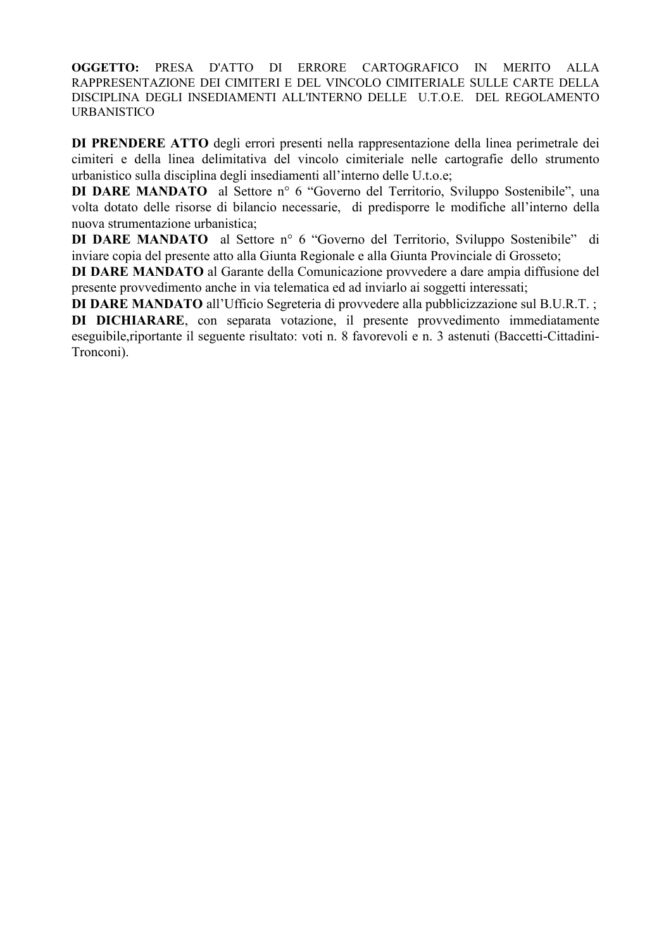OGGETTO: PRESA D'ATTO DI ERRORE CARTOGRAFICO IN MERITO ALLA RAPPRESENTAZIONE DEI CIMITERI E DEL VINCOLO CIMITERIALE SULLE CARTE DELLA DISCIPLINA DEGLI INSEDIAMENTI ALL'INTERNO DELLE U.T.O.E. DEL REGOLAMENTO **URBANISTICO** 

DI PRENDERE ATTO degli errori presenti nella rappresentazione della linea perimetrale dei cimiteri e della linea delimitativa del vincolo cimiteriale nelle cartografie dello strumento urbanistico sulla disciplina degli insediamenti all'interno delle U.t.o.e;

**DI DARE MANDATO** al Settore n° 6 "Governo del Territorio, Sviluppo Sostenibile", una volta dotato delle risorse di bilancio necessarie, di predisporre le modifiche all'interno della nuova strumentazione urbanistica;

**DI DARE MANDATO** al Settore n° 6 "Governo del Territorio, Sviluppo Sostenibile" di inviare copia del presente atto alla Giunta Regionale e alla Giunta Provinciale di Grosseto;

DI DARE MANDATO al Garante della Comunicazione provvedere a dare ampia diffusione del presente provvedimento anche in via telematica ed ad inviarlo ai soggetti interessati;

DI DARE MANDATO all'Ufficio Segreteria di provvedere alla pubblicizzazione sul B.U.R.T.;

DI DICHIARARE, con separata votazione, il presente provvedimento immediatamente eseguibile, riportante il seguente risultato: voti n. 8 favorevoli e n. 3 astenuti (Baccetti-Cittadini-Tronconi).